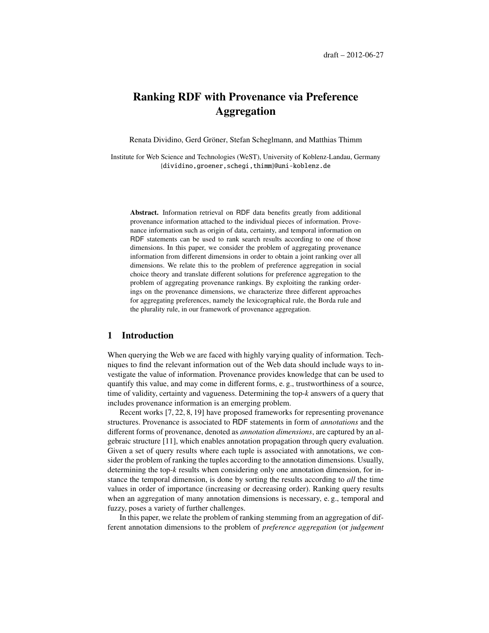# Ranking RDF with Provenance via Preference Aggregation

Renata Dividino, Gerd Gröner, Stefan Scheglmann, and Matthias Thimm

Institute for Web Science and Technologies (WeST), University of Koblenz-Landau, Germany {dividino,groener,schegi,thimm}@uni-koblenz.de

Abstract. Information retrieval on RDF data benefits greatly from additional provenance information attached to the individual pieces of information. Provenance information such as origin of data, certainty, and temporal information on RDF statements can be used to rank search results according to one of those dimensions. In this paper, we consider the problem of aggregating provenance information from different dimensions in order to obtain a joint ranking over all dimensions. We relate this to the problem of preference aggregation in social choice theory and translate different solutions for preference aggregation to the problem of aggregating provenance rankings. By exploiting the ranking orderings on the provenance dimensions, we characterize three different approaches for aggregating preferences, namely the lexicographical rule, the Borda rule and the plurality rule, in our framework of provenance aggregation.

# 1 Introduction

When querying the Web we are faced with highly varying quality of information. Techniques to find the relevant information out of the Web data should include ways to investigate the value of information. Provenance provides knowledge that can be used to quantify this value, and may come in different forms, e. g., trustworthiness of a source, time of validity, certainty and vagueness. Determining the top-*k* answers of a query that includes provenance information is an emerging problem.

Recent works [7, 22, 8, 19] have proposed frameworks for representing provenance structures. Provenance is associated to RDF statements in form of *annotations* and the different forms of provenance, denoted as *annotation dimensions*, are captured by an algebraic structure [11], which enables annotation propagation through query evaluation. Given a set of query results where each tuple is associated with annotations, we consider the problem of ranking the tuples according to the annotation dimensions. Usually, determining the top-*k* results when considering only one annotation dimension, for instance the temporal dimension, is done by sorting the results according to *all* the time values in order of importance (increasing or decreasing order). Ranking query results when an aggregation of many annotation dimensions is necessary, e. g., temporal and fuzzy, poses a variety of further challenges.

In this paper, we relate the problem of ranking stemming from an aggregation of different annotation dimensions to the problem of *preference aggregation* (or *judgement*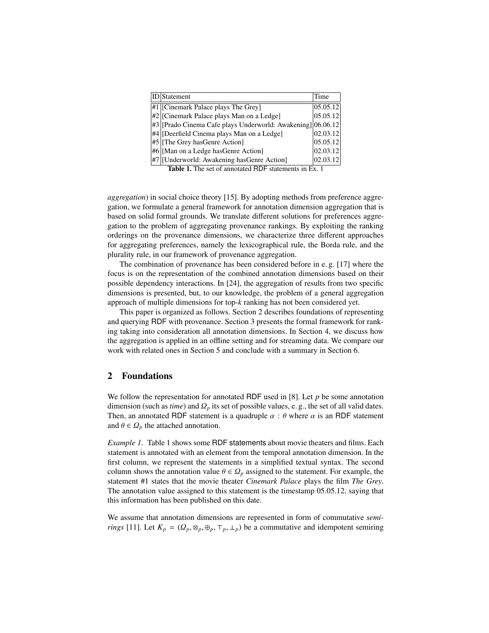|                                                      | <b>ID</b> Statement                                         | Time     |  |  |  |
|------------------------------------------------------|-------------------------------------------------------------|----------|--|--|--|
|                                                      | #1 [Cinemark Palace plays The Grey]                         | 05.05.12 |  |  |  |
|                                                      | #2 [Cinemark Palace plays Man on a Ledge]                   | 05.05.12 |  |  |  |
|                                                      | #3 [Prado Cinema Cafe plays Underworld: Awakening] 06.06.12 |          |  |  |  |
|                                                      | #4   [Deerfield Cinema plays Man on a Ledge]                | 02.03.12 |  |  |  |
|                                                      | #5 The Grey has Genre Action                                | 05.05.12 |  |  |  |
|                                                      | #6 [Man on a Ledge has Genre Action]                        | 02.03.12 |  |  |  |
|                                                      | #7 [Underworld: Awakening hasGenre Action]                  | 02.03.12 |  |  |  |
| Toble 1 The set of ennotated PDE statements in Ex. 1 |                                                             |          |  |  |  |

Table 1. The set of annotated RDF statements in Ex. 1

*aggregation*) in social choice theory [15]. By adopting methods from preference aggregation, we formulate a general framework for annotation dimension aggregation that is based on solid formal grounds. We translate different solutions for preferences aggregation to the problem of aggregating provenance rankings. By exploiting the ranking orderings on the provenance dimensions, we characterize three different approaches for aggregating preferences, namely the lexicographical rule, the Borda rule, and the plurality rule, in our framework of provenance aggregation.

The combination of provenance has been considered before in e. g. [17] where the focus is on the representation of the combined annotation dimensions based on their possible dependency interactions. In [24], the aggregation of results from two specific dimensions is presented, but, to our knowledge, the problem of a general aggregation approach of multiple dimensions for top-*k* ranking has not been considered yet.

This paper is organized as follows. Section 2 describes foundations of representing and querying RDF with provenance. Section 3 presents the formal framework for ranking taking into consideration all annotation dimensions. In Section 4, we discuss how the aggregation is applied in an offline setting and for streaming data. We compare our work with related ones in Section 5 and conclude with a summary in Section 6.

# 2 Foundations

We follow the representation for annotated RDF used in [8]. Let *p* be some annotation dimension (such as *time*) and  $\Omega_p$  its set of possible values, e.g., the set of all valid dates. Then, an annotated RDF statement is a quadruple  $\alpha : \theta$  where  $\alpha$  is an RDF statement and  $\theta \in \Omega_p$  the attached annotation.

*Example 1.* Table 1 shows some RDF statements about movie theaters and films. Each statement is annotated with an element from the temporal annotation dimension. In the first column, we represent the statements in a simplified textual syntax. The second column shows the annotation value  $\theta \in \Omega_p$  assigned to the statement. For example, the statement #1 states that the movie theater *Cinemark Palace* plays the film *The Grey*. The annotation value assigned to this statement is the timestamp 05.05.12. saying that this information has been published on this date.

We assume that annotation dimensions are represented in form of commutative *semirings* [11]. Let  $K_p = (Q_p, \otimes_p, \oplus_p, \top_p, \perp_p)$  be a commutative and idempotent semiring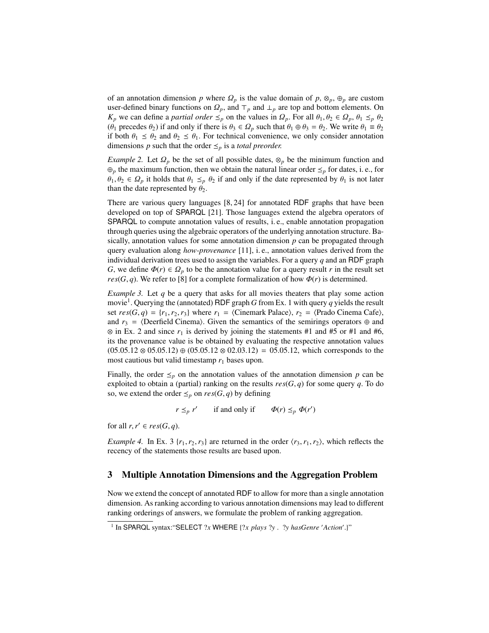of an annotation dimension *p* where  $\Omega_p$  is the value domain of  $p, \otimes_p, \oplus_p$  are custom user-defined binary functions on  $\Omega_p$ , and  $\tau_p$  and  $\bot_p$  are top and bottom elements. On *K<sub>p</sub>* we can define a *partial order*  $\leq_p$  on the values in  $\Omega_p$ . For all  $\theta_1, \theta_2 \in \Omega_p$ ,  $\theta_1 \leq_p \theta_2$ ( $\theta_1$  precedes  $\theta_2$ ) if and only if there is  $\theta_3 \in \Omega_p$  such that  $\theta_1 \oplus \theta_3 = \theta_2$ . We write  $\theta_1 \equiv \theta_2$ if both  $\theta_1 \le \theta_2$  and  $\theta_2 \le \theta_1$ . For technical convenience, we only consider annotation dimensions *p* such that the order  $\leq_p$  is a *total preorder.* 

*Example 2.* Let  $\Omega_p$  be the set of all possible dates,  $\otimes_p$  be the minimum function and  $\oplus_p$  the maximum function, then we obtain the natural linear order  $\leq_p$  for dates, i.e., for  $\theta_1, \theta_2 \in \Omega_p$  it holds that  $\theta_1 \leq_p \theta_2$  if and only if the date represented by  $\theta_1$  is not later than the date represented by  $\theta_2$ .

There are various query languages [8, 24] for annotated RDF graphs that have been developed on top of SPARQL [21]. Those languages extend the algebra operators of SPARQL to compute annotation values of results, i. e., enable annotation propagation through queries using the algebraic operators of the underlying annotation structure. Basically, annotation values for some annotation dimension *p* can be propagated through query evaluation along *how-provenance* [11], i. e., annotation values derived from the individual derivation trees used to assign the variables. For a query *q* and an RDF graph *G*, we define  $\Phi(r) \in \Omega_p$  to be the annotation value for a query result *r* in the result set *res*( $G$ , $q$ ). We refer to [8] for a complete formalization of how  $\Phi(r)$  is determined.

*Example 3.* Let *q* be a query that asks for all movies theaters that play some action movie<sup>1</sup>. Querying the (annotated) RDF graph *G* from Ex. 1 with query *q* yields the result set  $res(G, q) = \{r_1, r_2, r_3\}$  where  $r_1 = \langle$ Cinemark Palace $\rangle$ ,  $r_2 = \langle$ Prado Cinema Cafe $\rangle$ , and  $r_3$  =  $\Delta$ Deerfield Cinema). Given the semantics of the semirings operators ⊕ and  $\otimes$  in Ex. 2 and since  $r_1$  is derived by joining the statements #1 and #5 or #1 and #6, its the provenance value is be obtained by evaluating the respective annotation values  $(05.05.12 \otimes 05.05.12) \oplus (05.05.12 \otimes 02.03.12) = 05.05.12$ , which corresponds to the most cautious but valid timestamp  $r_1$  bases upon.

Finally, the order  $\leq_p$  on the annotation values of the annotation dimension p can be exploited to obtain a (partial) ranking on the results  $res(G, q)$  for some query  $q$ . To do so, we extend the order  $\leq_p$  on  $res(G, q)$  by defining

 $r \leq_p r'$  if and only if  $\Phi(r) \leq_p \Phi(r')$ 

for all  $r, r' \in res(G, q)$ .

*Example 4.* In Ex. 3  $\{r_1, r_2, r_3\}$  are returned in the order  $\langle r_3, r_1, r_2 \rangle$ , which reflects the recency of the statements those results are based upon.

# 3 Multiple Annotation Dimensions and the Aggregation Problem

Now we extend the concept of annotated RDF to allow for more than a single annotation dimension. As ranking according to various annotation dimensions may lead to different ranking orderings of answers, we formulate the problem of ranking aggregation.

<sup>&</sup>lt;sup>1</sup> In SPARQL syntax: "SELECT ?*x* WHERE {?*x plays ?y . ?y hasGenre 'Action'*.}"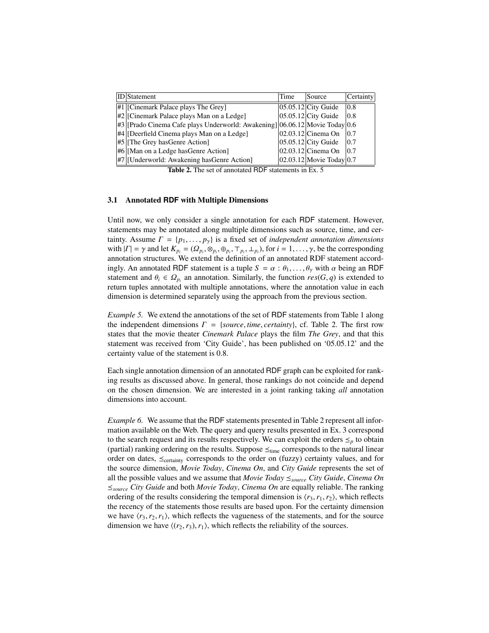| <b>ID</b> Statement                                                         | Time | Source                           | Certainty |
|-----------------------------------------------------------------------------|------|----------------------------------|-----------|
| $  #1  $ [Cinemark Palace plays The Grey]                                   |      | $ 05.05.12 $ City Guide          | 0.8       |
| #2 [Cinemark Palace plays Man on a Ledge]                                   |      | $ 05.05.12 $ City Guide          | 0.8       |
| #3 [Prado Cinema Cafe plays Underworld: Awakening] 06.06.12 Movie Today 0.6 |      |                                  |           |
| #4 [Deerfield Cinema plays Man on a Ledge]                                  |      | 02.03.12 Cinema On               | 0.7       |
| #5 [The Grey has Genre Action]                                              |      | $ 05.05.12 $ City Guide          | 0.7       |
| #6 [Man on a Ledge has Genre Action]                                        |      | 02.03.12 Cinema On               | 0.7       |
| #7 [Underworld: Awakening hasGenre Action]                                  |      | $[02.03.12]$ Movie Today $[0.7]$ |           |

Table 2. The set of annotated RDF statements in Ex. 5

### 3.1 Annotated **RDF** with Multiple Dimensions

Until now, we only consider a single annotation for each RDF statement. However, statements may be annotated along multiple dimensions such as source, time, and certainty. Assume  $\Gamma = \{p_1, \ldots, p_{\gamma}\}\$ is a fixed set of *independent annotation dimensions* with  $|\Gamma| = \gamma$  and let  $K_{p_i} = (Q_{p_i}, \otimes_{p_i}, \oplus_{p_i}, \top_{p_i}, \bot_{p_i})$ , for  $i = 1, \ldots, \gamma$ , be the corresponding annotation structures. We extend the definition of an annotated RDE statement accordannotation structures. We extend the definition of an annotated RDF statement accordingly. An annotated RDF statement is a tuple  $S = \alpha : \theta_1, \dots, \theta_\gamma$  with  $\alpha$  being an RDF statement and  $\theta_i \in \Omega_{p_i}$  an annotation. Similarly, the function  $res(G, q)$  is extended to return tuples annotated with multiple annotations where the annotation value in each return tuples annotated with multiple annotations, where the annotation value in each dimension is determined separately using the approach from the previous section.

*Example 5.* We extend the annotations of the set of RDF statements from Table 1 along the independent dimensions  $\Gamma = \{source, time, certainty\}$ , cf. Table 2. The first row states that the movie theater *Cinemark Palace* plays the film *The Grey*, and that this statement was received from 'City Guide', has been published on '05.05.12' and the certainty value of the statement is 0.8.

Each single annotation dimension of an annotated RDF graph can be exploited for ranking results as discussed above. In general, those rankings do not coincide and depend on the chosen dimension. We are interested in a joint ranking taking *all* annotation dimensions into account.

*Example 6.* We assume that the RDF statements presented in Table 2 represent all information available on the Web. The query and query results presented in Ex. 3 correspond to the search request and its results respectively. We can exploit the orders  $\leq_p$  to obtain (partial) ranking ordering on the results. Suppose  $\leq$ <sub>time</sub> corresponds to the natural linear order on dates,  $\leq_{\text{certainty}}$  corresponds to the order on (fuzzy) certainty values, and for the source dimension, *Movie Today*, *Cinema On*, and *City Guide* represents the set of all the possible values and we assume that *Movie Today*  $\leq_{source} City Guide$ , *Cinema On source City Guide* and both *Movie Today*, *Cinema On* are equally reliable. The ranking ordering of the results considering the temporal dimension is  $\langle r_3, r_1, r_2 \rangle$ , which reflects the recency of the statements those results are based upon. For the certainty dimension we have  $\langle r_3, r_2, r_1 \rangle$ , which reflects the vagueness of the statements, and for the source dimension we have  $\langle (r_2, r_3), r_1 \rangle$ , which reflects the reliability of the sources.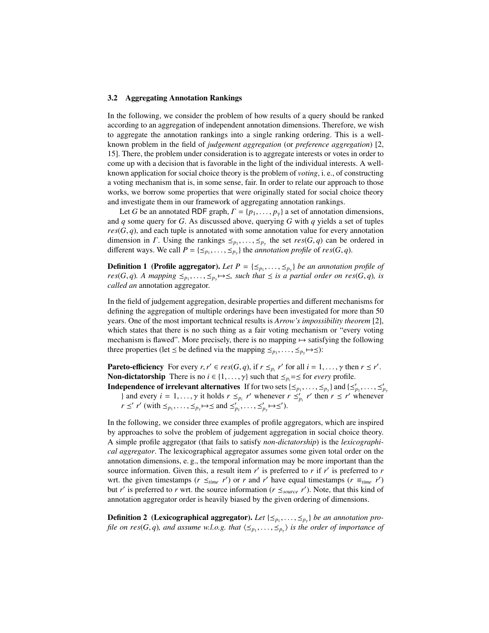#### 3.2 Aggregating Annotation Rankings

In the following, we consider the problem of how results of a query should be ranked according to an aggregation of independent annotation dimensions. Therefore, we wish to aggregate the annotation rankings into a single ranking ordering. This is a wellknown problem in the field of *judgement aggregation* (or *preference aggregation*) [2, 15]. There, the problem under consideration is to aggregate interests or votes in order to come up with a decision that is favorable in the light of the individual interests. A wellknown application for social choice theory is the problem of *voting*, i. e., of constructing a voting mechanism that is, in some sense, fair. In order to relate our approach to those works, we borrow some properties that were originally stated for social choice theory and investigate them in our framework of aggregating annotation rankings.

Let *G* be an annotated RDF graph,  $\Gamma = \{p_1, \ldots, p_{\gamma}\}\$ a set of annotation dimensions, and *q* some query for *G*. As discussed above, querying *G* with *q* yields a set of tuples  $res(G, q)$ , and each tuple is annotated with some annotation value for every annotation dimension in *Γ*. Using the rankings  $\leq_{p_1}, \ldots, \leq_{p_\gamma}$  the set *res*(*G*, *q*) can be ordered in different ways. We call  $P - I \leq \cdots \leq 1$  the *annotation profile* of *res*(*G*, *q*) different ways. We call  $P = \{ \leq_{p_1}, \ldots, \leq_{p_y} \}$  the *annotation profile* of  $res(G, q)$ .

**Definition 1 (Profile aggregator).** Let  $P = \{\leq_{p_1}, \ldots, \leq_{p_y}\}$  be an annotation profile of res(G, a), is res(G, a), is  $res(G, q)$ *. A mapping*  $\leq_{p_1}, \ldots, \leq_{p_\gamma} \mapsto \leq$ *, such that*  $\leq$  *is a partial order on res*(*G*, *q*)*, is* called an annotation aggregator *called an* annotation aggregator*.*

In the field of judgement aggregation, desirable properties and different mechanisms for defining the aggregation of multiple orderings have been investigated for more than 50 years. One of the most important technical results is *Arrow's impossibility theorem* [2], which states that there is no such thing as a fair voting mechanism or "every voting mechanism is flawed". More precisely, there is no mapping  $\mapsto$  satisfying the following three properties (let  $\leq$  be defined via the mapping  $\leq_{p_1}, \ldots, \leq_{p_\gamma} \mapsto \leq$ ):

**Pareto-efficiency** For every *r*,  $r' \in res(G, q)$ , if  $r \leq_{p_i} r'$  for all  $i = 1, ..., \gamma$  then  $r \leq r'$ .<br>Non-dictatorship, There is no  $i \in \{1, ..., \gamma\}$  such that  $\leq r' \leq \gamma$  for every profile **Non-dictatorship** There is no  $i \in \{1, ..., \gamma\}$  such that  $\leq_{p_i} = \leq$  for *every* profile.

**Independence of irrelevant alternatives** If for two sets  $\{\leq_{p_1}, \dots, \leq_{p_r}\}$  and  $\{\leq'_{p_1}, \dots, \leq'_{p_r}\}$  and every  $i = 1, \dots, \gamma$  it holds  $r \leq_{p_i} r'$  whenever  $r \leq'_{p_i} r'$  then  $r \leq r'$  whenever  $r \leq r'$  (with  $\leq \$  $r \leq' r'$  (with  $\leq_{p_1}, \ldots, \leq_{p_\gamma} \mapsto \leq$  and  $\leq'_{p_1}, \ldots, \leq'_{p_\gamma} \mapsto \leq'$ ).

In the following, we consider three examples of profile aggregators, which are inspired by approaches to solve the problem of judgement aggregation in social choice theory. A simple profile aggregator (that fails to satisfy *non-dictatorship*) is the *lexicographical aggregator*. The lexicographical aggregator assumes some given total order on the annotation dimensions, e. g., the temporal information may be more important than the source information. Given this, a result item  $r'$  is preferred to  $r$  if  $r'$  is preferred to  $r$ wrt. the given timestamps ( $r \leq_{time} r'$ ) or  $r$  and  $r'$  have equal timestamps ( $r \equiv_{time} r'$ ) but *r'* is preferred to *r* wrt. the source information ( $r \leq_{source} r'$ ). Note, that this kind of annotation aggregator order is heavily biased by the given ordering of dimensions.

**Definition 2** (Lexicographical aggregator). Let  $\{\leq_{p_1}, \ldots, \leq_{p_y}\}$  be an annotation pro-<br>
file on res(G, a), and assume w Lo, a, that  $\{\leq_{p_1}, \ldots, \leq_{p_y}\}$  is the order of importance of *file on res*(*G*, *q*), and assume w.l.o.g. that  $\langle \leq_{p_1}, \ldots, \leq_{p_{\gamma}} \rangle$  is the order of importance of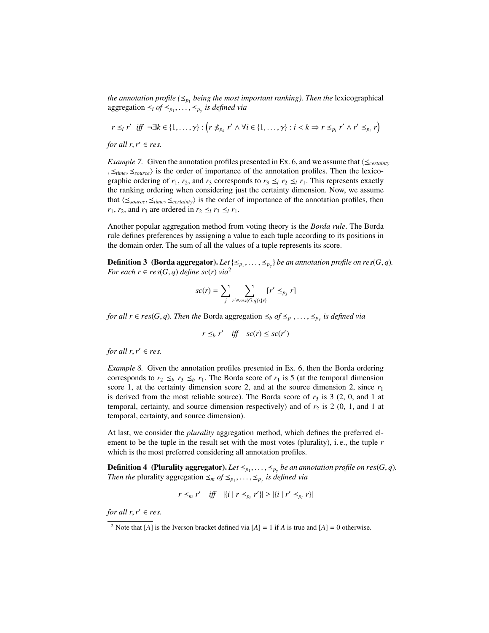*the annotation profile* ( $\leq_{p_1}$  *being the most important ranking). Then the lexicographical*  $\arg \arg \min_{l} \leq_l \text{ of } \leq_{p_1}, \ldots, \leq_{p_{\gamma}} \text{ is defined via}$ 

$$
r \leq_l r' \text{ iff } \neg \exists k \in \{1, \ldots, \gamma\} : \left(r \nleq_{p_k} r' \land \forall i \in \{1, \ldots, \gamma\} : i < k \Rightarrow r \leq_{p_i} r' \land r' \leq_{p_i} r\right)
$$

*for all*  $r, r' \in res$ .

*Example 7.* Given the annotation profiles presented in Ex. 6, and we assume that  $\leq_{certainty}$  $, \leq_{time}, \leq_{source}$  is the order of importance of the annotation profiles. Then the lexicographic ordering of  $r_1$ ,  $r_2$ , and  $r_3$  corresponds to  $r_3 \leq_l r_2 \leq_l r_1$ . This represents exactly the ranking ordering when considering just the certainty dimension. Now, we assume that  $\langle \leq_{source}, \leq_{time}, \leq_{certainty} \rangle$  is the order of importance of the annotation profiles, then  $r_1$ ,  $r_2$ , and  $r_3$  are ordered in  $r_2 \leq_l r_3 \leq_l r_1$ .

Another popular aggregation method from voting theory is the *Borda rule*. The Borda rule defines preferences by assigning a value to each tuple according to its positions in the domain order. The sum of all the values of a tuple represents its score.

**Definition 3** (Borda aggregator). Let  $\{\leq_{p_1}, \ldots, \leq_{p_\gamma}\}$  be an annotation profile on res(*G*, *q*). For each  $r \in \text{res}(G, a)$  define sc(r) via<sup>2</sup> *For each r*  $\in$  *res*(*G*, *q*) *define sc*(*r*) *via*<sup>2</sup>

$$
sc(r) = \sum_{j} \sum_{r' \in res(G,q) \setminus \{r\}} [r' \leq_{p_j} r]
$$

*for all r* ∈ *res*(*G*, *q*). *Then the* Borda aggregation  $\leq_b$  *of*  $\leq_{p_1}, \ldots, \leq_{p_\gamma}$  *is defined via* 

$$
r \leq_b r' \quad \text{iff} \quad sc(r) \leq sc(r')
$$

*for all*  $r, r' \in res$ .

*Example 8.* Given the annotation profiles presented in Ex. 6, then the Borda ordering corresponds to  $r_2 \leq_b r_3 \leq_b r_1$ . The Borda score of  $r_1$  is 5 (at the temporal dimension score 1, at the certainty dimension score 2, and at the source dimension 2, since  $r_1$ is derived from the most reliable source). The Borda score of  $r_3$  is 3 (2, 0, and 1 at temporal, certainty, and source dimension respectively) and of  $r_2$  is 2 (0, 1, and 1 at temporal, certainty, and source dimension).

At last, we consider the *plurality* aggregation method, which defines the preferred element to be the tuple in the result set with the most votes (plurality), i. e., the tuple *r* which is the most preferred considering all annotation profiles.

**Definition 4** (Plurality aggregator). Let  $\leq_{p_1}, \ldots, \leq_{p_\gamma}$  be an annotation profile on res(*G*, *q*).<br>Then the plurality aggregation  $\leq$  of  $\leq$  is defined via *Then the* plurality aggregation  $\leq_m$  *of*  $\leq_{p_1}, \ldots, \leq_{p_{\gamma}}$  *is defined via* 

$$
r \leq_m r' \quad \text{iff} \quad |\{i \mid r \leq_{p_i} r'\}| \geq |\{i \mid r' \leq_{p_i} r\}|
$$

*for all*  $r, r' \in res$ .

<sup>&</sup>lt;sup>2</sup> Note that  $\overline{[A]}$  is the Iverson bracket defined via  $\overline{[A]} = 1$  if *A* is true and  $\overline{[A]} = 0$  otherwise.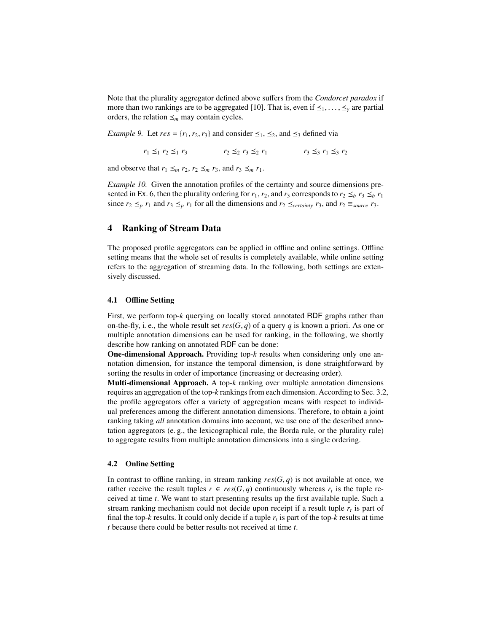Note that the plurality aggregator defined above suffers from the *Condorcet paradox* if more than two rankings are to be aggregated [10]. That is, even if  $\leq_1, \ldots, \leq_r$  are partial orders, the relation  $\leq_m$  may contain cycles.

*Example 9.* Let  $res = \{r_1, r_2, r_3\}$  and consider  $\leq_1$ ,  $\leq_2$ , and  $\leq_3$  defined via

 $r_1 \leq r_1 \leq r_2 \leq r_3 \leq r_1$  *r*<sub>2</sub>  $r_1 \leq r_3 \leq r_1$  *r*<sub>3</sub>  $r_2 \leq r_1$  *r*<sub>3</sub>  $r_2 \leq r_2$ 

and observe that  $r_1 \leq_m r_2$ ,  $r_2 \leq_m r_3$ , and  $r_3 \leq_m r_1$ .

*Example 10.* Given the annotation profiles of the certainty and source dimensions presented in Ex. 6, then the plurality ordering for  $r_1$ ,  $r_2$ , and  $r_3$  corresponds to  $r_2 \leq_b r_3 \leq_b r_1$ since  $r_2 \leq_p r_1$  and  $r_3 \leq_p r_1$  for all the dimensions and  $r_2 \leq_{certainty} r_3$ , and  $r_2 \equiv_{source} r_3$ .

# 4 Ranking of Stream Data

The proposed profile aggregators can be applied in offline and online settings. Offline setting means that the whole set of results is completely available, while online setting refers to the aggregation of streaming data. In the following, both settings are extensively discussed.

### 4.1 Offline Setting

First, we perform top-*k* querying on locally stored annotated RDF graphs rather than on-the-fly, i. e., the whole result set  $res(G, q)$  of a query *q* is known a priori. As one or multiple annotation dimensions can be used for ranking, in the following, we shortly describe how ranking on annotated RDF can be done:

One-dimensional Approach. Providing top-*k* results when considering only one annotation dimension, for instance the temporal dimension, is done straightforward by sorting the results in order of importance (increasing or decreasing order).

Multi-dimensional Approach. A top-*k* ranking over multiple annotation dimensions requires an aggregation of the top-*k* rankings from each dimension. According to Sec. 3.2, the profile aggregators offer a variety of aggregation means with respect to individual preferences among the different annotation dimensions. Therefore, to obtain a joint ranking taking *all* annotation domains into account, we use one of the described annotation aggregators (e. g., the lexicographical rule, the Borda rule, or the plurality rule) to aggregate results from multiple annotation dimensions into a single ordering.

#### 4.2 Online Setting

In contrast to offline ranking, in stream ranking  $res(G, q)$  is not available at once, we rather receive the result tuples  $r \in res(G, q)$  continuously whereas  $r_t$  is the tuple received at time t. We want to start presenting results up the first available tuple. Such a ceived at time *t*. We want to start presenting results up the first available tuple. Such a stream ranking mechanism could not decide upon receipt if a result tuple *r<sup>t</sup>* is part of final the top-*k* results. It could only decide if a tuple *r<sup>t</sup>* is part of the top-*k* results at time *t* because there could be better results not received at time *t*.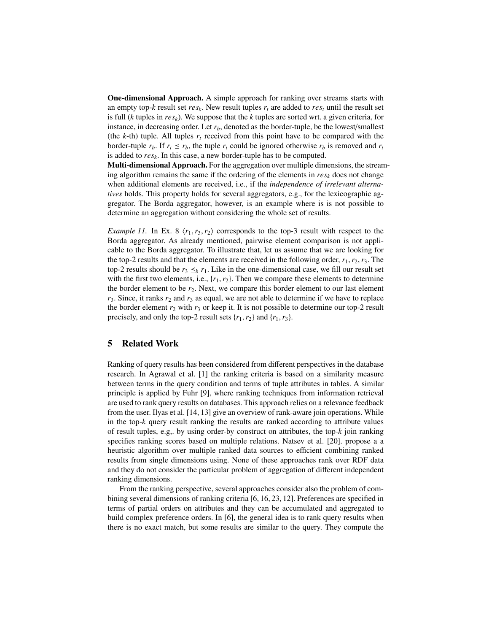One-dimensional Approach. A simple approach for ranking over streams starts with an empty top- $k$  result set  $res_k$ . New result tuples  $r_t$  are added to  $res_t$  until the result set is full (*k* tuples in *resk*). We suppose that the *k* tuples are sorted wrt. a given criteria, for instance, in decreasing order. Let  $r<sub>b</sub>$ , denoted as the border-tuple, be the lowest/smallest (the  $k$ -th) tuple. All tuples  $r_t$  received from this point have to be compared with the border-tuple  $r_b$ . If  $r_t \leq r_b$ , the tuple  $r_t$  could be ignored otherwise  $r_b$  is removed and  $r_t$ is added to *resk*. In this case, a new border-tuple has to be computed.

Multi-dimensional Approach. For the aggregation over multiple dimensions, the streaming algorithm remains the same if the ordering of the elements in  $res_k$  does not change when additional elements are received, i.e., if the *independence of irrelevant alternatives* holds. This property holds for several aggregators, e.g., for the lexicographic aggregator. The Borda aggregator, however, is an example where is is not possible to determine an aggregation without considering the whole set of results.

*Example 11.* In Ex. 8  $\langle r_1, r_3, r_2 \rangle$  corresponds to the top-3 result with respect to the Borda aggregator. As already mentioned, pairwise element comparison is not applicable to the Borda aggregator. To illustrate that, let us assume that we are looking for the top-2 results and that the elements are received in the following order,  $r_1$ ,  $r_2$ ,  $r_3$ . The top-2 results should be  $r_3 \leq b r_1$ . Like in the one-dimensional case, we fill our result set with the first two elements, i.e.,  $\{r_1, r_2\}$ . Then we compare these elements to determine the border element to be  $r_2$ . Next, we compare this border element to our last element  $r_3$ . Since, it ranks  $r_2$  and  $r_3$  as equal, we are not able to determine if we have to replace the border element  $r_2$  with  $r_3$  or keep it. It is not possible to determine our top-2 result precisely, and only the top-2 result sets  $\{r_1, r_2\}$  and  $\{r_1, r_3\}$ .

# 5 Related Work

Ranking of query results has been considered from different perspectives in the database research. In Agrawal et al. [1] the ranking criteria is based on a similarity measure between terms in the query condition and terms of tuple attributes in tables. A similar principle is applied by Fuhr [9], where ranking techniques from information retrieval are used to rank query results on databases. This approach relies on a relevance feedback from the user. Ilyas et al. [14, 13] give an overview of rank-aware join operations. While in the top-*k* query result ranking the results are ranked according to attribute values of result tuples, e.g,. by using order-by construct on attributes, the top-*k* join ranking specifies ranking scores based on multiple relations. Natsev et al. [20]. propose a a heuristic algorithm over multiple ranked data sources to efficient combining ranked results from single dimensions using. None of these approaches rank over RDF data and they do not consider the particular problem of aggregation of different independent ranking dimensions.

From the ranking perspective, several approaches consider also the problem of combining several dimensions of ranking criteria [6, 16, 23, 12]. Preferences are specified in terms of partial orders on attributes and they can be accumulated and aggregated to build complex preference orders. In [6], the general idea is to rank query results when there is no exact match, but some results are similar to the query. They compute the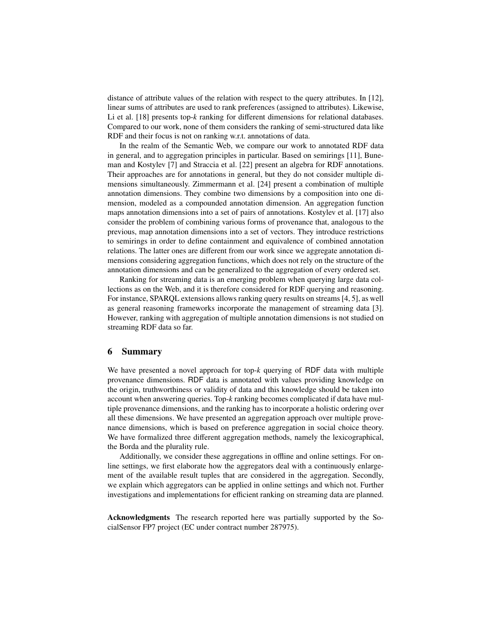distance of attribute values of the relation with respect to the query attributes. In [12], linear sums of attributes are used to rank preferences (assigned to attributes). Likewise, Li et al. [18] presents top-*k* ranking for different dimensions for relational databases. Compared to our work, none of them considers the ranking of semi-structured data like RDF and their focus is not on ranking w.r.t. annotations of data.

In the realm of the Semantic Web, we compare our work to annotated RDF data in general, and to aggregation principles in particular. Based on semirings [11], Buneman and Kostylev [7] and Straccia et al. [22] present an algebra for RDF annotations. Their approaches are for annotations in general, but they do not consider multiple dimensions simultaneously. Zimmermann et al. [24] present a combination of multiple annotation dimensions. They combine two dimensions by a composition into one dimension, modeled as a compounded annotation dimension. An aggregation function maps annotation dimensions into a set of pairs of annotations. Kostylev et al. [17] also consider the problem of combining various forms of provenance that, analogous to the previous, map annotation dimensions into a set of vectors. They introduce restrictions to semirings in order to define containment and equivalence of combined annotation relations. The latter ones are different from our work since we aggregate annotation dimensions considering aggregation functions, which does not rely on the structure of the annotation dimensions and can be generalized to the aggregation of every ordered set.

Ranking for streaming data is an emerging problem when querying large data collections as on the Web, and it is therefore considered for RDF querying and reasoning. For instance, SPARQL extensions allows ranking query results on streams [4, 5], as well as general reasoning frameworks incorporate the management of streaming data [3]. However, ranking with aggregation of multiple annotation dimensions is not studied on streaming RDF data so far.

# 6 Summary

We have presented a novel approach for top-*k* querying of RDF data with multiple provenance dimensions. RDF data is annotated with values providing knowledge on the origin, truthworthiness or validity of data and this knowledge should be taken into account when answering queries. Top-*k* ranking becomes complicated if data have multiple provenance dimensions, and the ranking has to incorporate a holistic ordering over all these dimensions. We have presented an aggregation approach over multiple provenance dimensions, which is based on preference aggregation in social choice theory. We have formalized three different aggregation methods, namely the lexicographical, the Borda and the plurality rule.

Additionally, we consider these aggregations in offline and online settings. For online settings, we first elaborate how the aggregators deal with a continuously enlargement of the available result tuples that are considered in the aggregation. Secondly, we explain which aggregators can be applied in online settings and which not. Further investigations and implementations for efficient ranking on streaming data are planned.

Acknowledgments The research reported here was partially supported by the SocialSensor FP7 project (EC under contract number 287975).